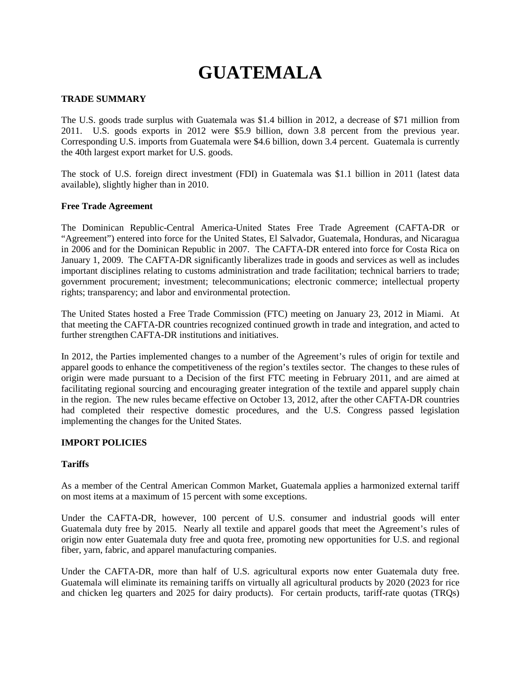# **GUATEMALA**

# **TRADE SUMMARY**

The U.S. goods trade surplus with Guatemala was \$1.4 billion in 2012, a decrease of \$71 million from 2011. U.S. goods exports in 2012 were \$5.9 billion, down 3.8 percent from the previous year. Corresponding U.S. imports from Guatemala were \$4.6 billion, down 3.4 percent. Guatemala is currently the 40th largest export market for U.S. goods.

The stock of U.S. foreign direct investment (FDI) in Guatemala was \$1.1 billion in 2011 (latest data available), slightly higher than in 2010.

#### **Free Trade Agreement**

The Dominican Republic-Central America-United States Free Trade Agreement (CAFTA-DR or "Agreement") entered into force for the United States, El Salvador, Guatemala, Honduras, and Nicaragua in 2006 and for the Dominican Republic in 2007. The CAFTA-DR entered into force for Costa Rica on January 1, 2009. The CAFTA-DR significantly liberalizes trade in goods and services as well as includes important disciplines relating to customs administration and trade facilitation; technical barriers to trade; government procurement; investment; telecommunications; electronic commerce; intellectual property rights; transparency; and labor and environmental protection.

The United States hosted a Free Trade Commission (FTC) meeting on January 23, 2012 in Miami. At that meeting the CAFTA-DR countries recognized continued growth in trade and integration, and acted to further strengthen CAFTA-DR institutions and initiatives.

In 2012, the Parties implemented changes to a number of the Agreement's rules of origin for textile and apparel goods to enhance the competitiveness of the region's textiles sector. The changes to these rules of origin were made pursuant to a Decision of the first FTC meeting in February 2011, and are aimed at facilitating regional sourcing and encouraging greater integration of the textile and apparel supply chain in the region. The new rules became effective on October 13, 2012, after the other CAFTA-DR countries had completed their respective domestic procedures, and the U.S. Congress passed legislation implementing the changes for the United States.

#### **IMPORT POLICIES**

# **Tariffs**

As a member of the Central American Common Market, Guatemala applies a harmonized external tariff on most items at a maximum of 15 percent with some exceptions.

Under the CAFTA-DR, however, 100 percent of U.S. consumer and industrial goods will enter Guatemala duty free by 2015. Nearly all textile and apparel goods that meet the Agreement's rules of origin now enter Guatemala duty free and quota free, promoting new opportunities for U.S. and regional fiber, yarn, fabric, and apparel manufacturing companies.

Under the CAFTA-DR, more than half of U.S. agricultural exports now enter Guatemala duty free. Guatemala will eliminate its remaining tariffs on virtually all agricultural products by 2020 (2023 for rice and chicken leg quarters and 2025 for dairy products). For certain products, tariff-rate quotas (TRQs)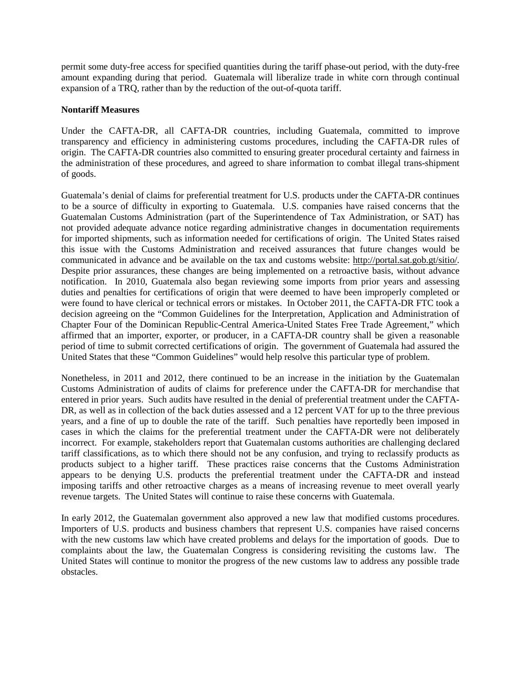permit some duty-free access for specified quantities during the tariff phase-out period, with the duty-free amount expanding during that period. Guatemala will liberalize trade in white corn through continual expansion of a TRQ, rather than by the reduction of the out-of-quota tariff.

# **Nontariff Measures**

Under the CAFTA-DR, all CAFTA-DR countries, including Guatemala, committed to improve transparency and efficiency in administering customs procedures, including the CAFTA-DR rules of origin. The CAFTA-DR countries also committed to ensuring greater procedural certainty and fairness in the administration of these procedures, and agreed to share information to combat illegal trans-shipment of goods.

Guatemala's denial of claims for preferential treatment for U.S. products under the CAFTA-DR continues to be a source of difficulty in exporting to Guatemala. U.S. companies have raised concerns that the Guatemalan Customs Administration (part of the Superintendence of Tax Administration, or SAT) has not provided adequate advance notice regarding administrative changes in documentation requirements for imported shipments, such as information needed for certifications of origin. The United States raised this issue with the Customs Administration and received assurances that future changes would be communicated in advance and be available on the tax and customs website: [http://portal.sat.gob.gt/sitio/.](http://portal.sat.gob.gt/sitio/)  Despite prior assurances, these changes are being implemented on a retroactive basis, without advance notification. In 2010, Guatemala also began reviewing some imports from prior years and assessing duties and penalties for certifications of origin that were deemed to have been improperly completed or were found to have clerical or technical errors or mistakes. In October 2011, the CAFTA-DR FTC took a decision agreeing on the "Common Guidelines for the Interpretation, Application and Administration of Chapter Four of the Dominican Republic-Central America-United States Free Trade Agreement," which affirmed that an importer, exporter, or producer, in a CAFTA-DR country shall be given a reasonable period of time to submit corrected certifications of origin. The government of Guatemala had assured the United States that these "Common Guidelines" would help resolve this particular type of problem.

Nonetheless, in 2011 and 2012, there continued to be an increase in the initiation by the Guatemalan Customs Administration of audits of claims for preference under the CAFTA-DR for merchandise that entered in prior years. Such audits have resulted in the denial of preferential treatment under the CAFTA-DR, as well as in collection of the back duties assessed and a 12 percent VAT for up to the three previous years, and a fine of up to double the rate of the tariff. Such penalties have reportedly been imposed in cases in which the claims for the preferential treatment under the CAFTA-DR were not deliberately incorrect. For example, stakeholders report that Guatemalan customs authorities are challenging declared tariff classifications, as to which there should not be any confusion, and trying to reclassify products as products subject to a higher tariff. These practices raise concerns that the Customs Administration appears to be denying U.S. products the preferential treatment under the CAFTA-DR and instead imposing tariffs and other retroactive charges as a means of increasing revenue to meet overall yearly revenue targets. The United States will continue to raise these concerns with Guatemala.

In early 2012, the Guatemalan government also approved a new law that modified customs procedures. Importers of U.S. products and business chambers that represent U.S. companies have raised concerns with the new customs law which have created problems and delays for the importation of goods. Due to complaints about the law, the Guatemalan Congress is considering revisiting the customs law. The United States will continue to monitor the progress of the new customs law to address any possible trade obstacles.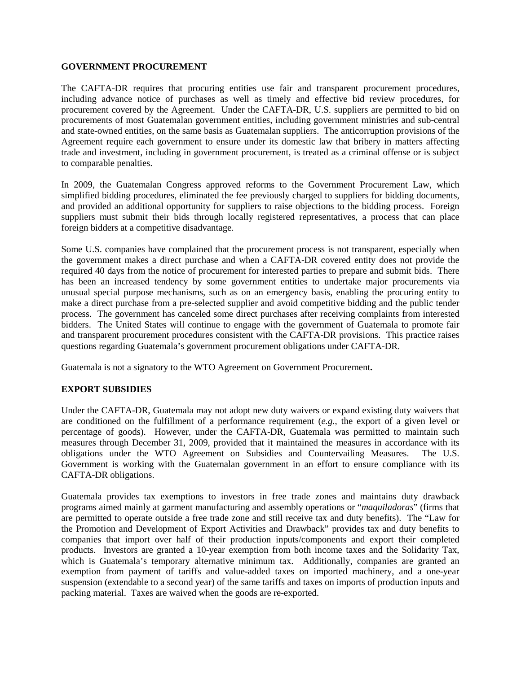#### **GOVERNMENT PROCUREMENT**

The CAFTA-DR requires that procuring entities use fair and transparent procurement procedures, including advance notice of purchases as well as timely and effective bid review procedures, for procurement covered by the Agreement. Under the CAFTA-DR, U.S. suppliers are permitted to bid on procurements of most Guatemalan government entities, including government ministries and sub-central and state-owned entities, on the same basis as Guatemalan suppliers. The anticorruption provisions of the Agreement require each government to ensure under its domestic law that bribery in matters affecting trade and investment, including in government procurement, is treated as a criminal offense or is subject to comparable penalties.

In 2009, the Guatemalan Congress approved reforms to the Government Procurement Law, which simplified bidding procedures, eliminated the fee previously charged to suppliers for bidding documents, and provided an additional opportunity for suppliers to raise objections to the bidding process. Foreign suppliers must submit their bids through locally registered representatives, a process that can place foreign bidders at a competitive disadvantage.

Some U.S. companies have complained that the procurement process is not transparent, especially when the government makes a direct purchase and when a CAFTA-DR covered entity does not provide the required 40 days from the notice of procurement for interested parties to prepare and submit bids. There has been an increased tendency by some government entities to undertake major procurements via unusual special purpose mechanisms, such as on an emergency basis, enabling the procuring entity to make a direct purchase from a pre-selected supplier and avoid competitive bidding and the public tender process. The government has canceled some direct purchases after receiving complaints from interested bidders. The United States will continue to engage with the government of Guatemala to promote fair and transparent procurement procedures consistent with the CAFTA-DR provisions. This practice raises questions regarding Guatemala's government procurement obligations under CAFTA-DR.

Guatemala is not a signatory to the WTO Agreement on Government Procurement**.**

# **EXPORT SUBSIDIES**

Under the CAFTA-DR, Guatemala may not adopt new duty waivers or expand existing duty waivers that are conditioned on the fulfillment of a performance requirement (*e.g.*, the export of a given level or percentage of goods). However, under the CAFTA-DR, Guatemala was permitted to maintain such measures through December 31, 2009, provided that it maintained the measures in accordance with its obligations under the WTO Agreement on Subsidies and Countervailing Measures. The U.S. Government is working with the Guatemalan government in an effort to ensure compliance with its CAFTA-DR obligations.

Guatemala provides tax exemptions to investors in free trade zones and maintains duty drawback programs aimed mainly at garment manufacturing and assembly operations or "*maquiladoras*" (firms that are permitted to operate outside a free trade zone and still receive tax and duty benefits). The "Law for the Promotion and Development of Export Activities and Drawback" provides tax and duty benefits to companies that import over half of their production inputs/components and export their completed products. Investors are granted a 10-year exemption from both income taxes and the Solidarity Tax, which is Guatemala's temporary alternative minimum tax. Additionally, companies are granted an exemption from payment of tariffs and value-added taxes on imported machinery, and a one-year suspension (extendable to a second year) of the same tariffs and taxes on imports of production inputs and packing material. Taxes are waived when the goods are re-exported.